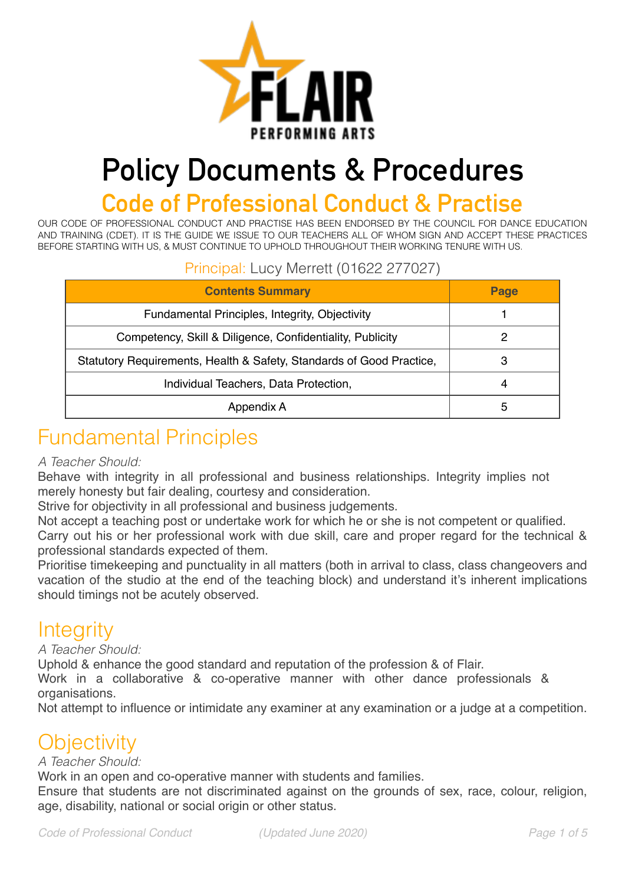

# **Policy Documents & Procedures**

# **Code of Professional Conduct & Practise**

OUR CODE OF PROFESSIONAL CONDUCT AND PRACTISE HAS BEEN ENDORSED BY THE COUNCIL FOR DANCE EDUCATION AND TRAINING (CDET). IT IS THE GUIDE WE ISSUE TO OUR TEACHERS ALL OF WHOM SIGN AND ACCEPT THESE PRACTICES BEFORE STARTING WITH US, & MUST CONTINUE TO UPHOLD THROUGHOUT THEIR WORKING TENURE WITH US.

#### Principal: Lucy Merrett (01622 277027)

| <b>Contents Summary</b>                                              | Page |
|----------------------------------------------------------------------|------|
| Fundamental Principles, Integrity, Objectivity                       |      |
| Competency, Skill & Diligence, Confidentiality, Publicity            |      |
| Statutory Requirements, Health & Safety, Standards of Good Practice, |      |
| Individual Teachers, Data Protection,                                | 4    |
| Appendix A                                                           | b    |

# Fundamental Principles

#### *A Teacher Should:*

Behave with integrity in all professional and business relationships. Integrity implies not merely honesty but fair dealing, courtesy and consideration.

Strive for objectivity in all professional and business judgements.

Not accept a teaching post or undertake work for which he or she is not competent or qualified.

Carry out his or her professional work with due skill, care and proper regard for the technical & professional standards expected of them.

Prioritise timekeeping and punctuality in all matters (both in arrival to class, class changeovers and vacation of the studio at the end of the teaching block) and understand it's inherent implications should timings not be acutely observed.

### **Integrity**

*A Teacher Should:* 

Uphold & enhance the good standard and reputation of the profession & of Flair.

Work in a collaborative & co-operative manner with other dance professionals & organisations.

Not attempt to influence or intimidate any examiner at any examination or a judge at a competition.

### **Objectivity**

#### *A Teacher Should:*

Work in an open and co-operative manner with students and families.

Ensure that students are not discriminated against on the grounds of sex, race, colour, religion, age, disability, national or social origin or other status.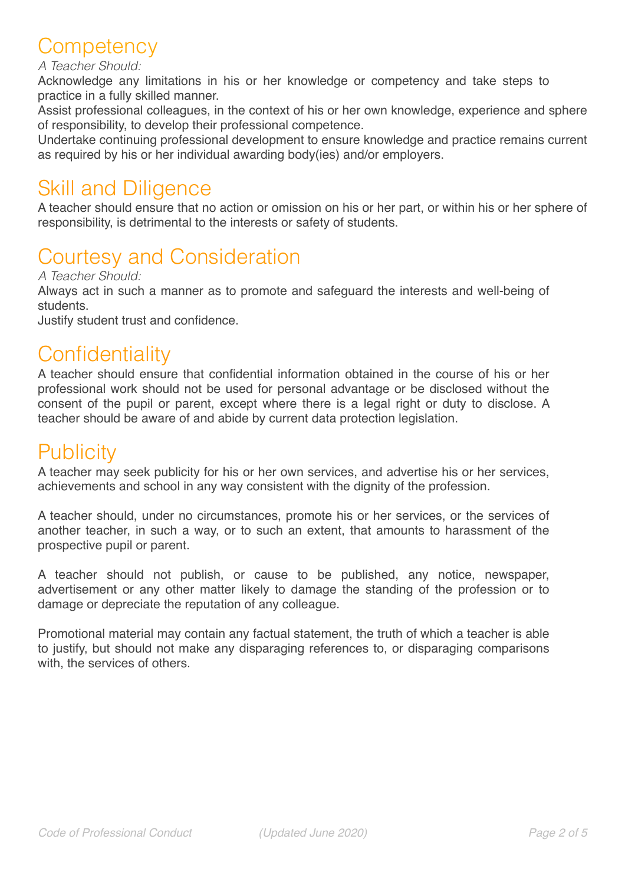# **Competency**

#### *A Teacher Should:*

Acknowledge any limitations in his or her knowledge or competency and take steps to practice in a fully skilled manner.

Assist professional colleagues, in the context of his or her own knowledge, experience and sphere of responsibility, to develop their professional competence.

Undertake continuing professional development to ensure knowledge and practice remains current as required by his or her individual awarding body(ies) and/or employers.

### Skill and Diligence

A teacher should ensure that no action or omission on his or her part, or within his or her sphere of responsibility, is detrimental to the interests or safety of students.

# Courtesy and Consideration

*A Teacher Should:* 

Always act in such a manner as to promote and safeguard the interests and well-being of students.

Justify student trust and confidence.

### **Confidentiality**

A teacher should ensure that confidential information obtained in the course of his or her professional work should not be used for personal advantage or be disclosed without the consent of the pupil or parent, except where there is a legal right or duty to disclose. A teacher should be aware of and abide by current data protection legislation.

## **Publicity**

A teacher may seek publicity for his or her own services, and advertise his or her services, achievements and school in any way consistent with the dignity of the profession.

A teacher should, under no circumstances, promote his or her services, or the services of another teacher, in such a way, or to such an extent, that amounts to harassment of the prospective pupil or parent.

A teacher should not publish, or cause to be published, any notice, newspaper, advertisement or any other matter likely to damage the standing of the profession or to damage or depreciate the reputation of any colleague.

Promotional material may contain any factual statement, the truth of which a teacher is able to justify, but should not make any disparaging references to, or disparaging comparisons with, the services of others.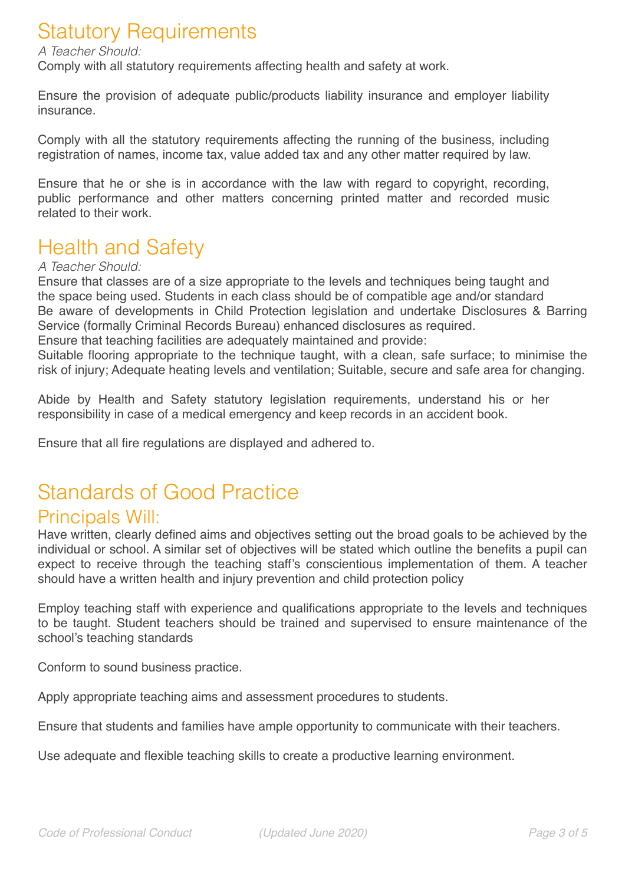# Statutory Requirements

#### *A Teacher Should:*

Comply with all statutory requirements affecting health and safety at work.

Ensure the provision of adequate public/products liability insurance and employer liability insurance.

Comply with all the statutory requirements affecting the running of the business, including registration of names, income tax, value added tax and any other matter required by law.

Ensure that he or she is in accordance with the law with regard to copyright, recording, public performance and other matters concerning printed matter and recorded music related to their work.

# Health and Safety

#### *A Teacher Should:*

Ensure that classes are of a size appropriate to the levels and techniques being taught and the space being used. Students in each class should be of compatible age and/or standard Be aware of developments in Child Protection legislation and undertake Disclosures & Barring Service (formally Criminal Records Bureau) enhanced disclosures as required. Ensure that teaching facilities are adequately maintained and provide:

Suitable flooring appropriate to the technique taught, with a clean, safe surface; to minimise the risk of injury; Adequate heating levels and ventilation; Suitable, secure and safe area for changing.

Abide by Health and Safety statutory legislation requirements, understand his or her responsibility in case of a medical emergency and keep records in an accident book.

Ensure that all fire regulations are displayed and adhered to.

# Standards of Good Practice

#### Principals Will:

Have written, clearly defined aims and objectives setting out the broad goals to be achieved by the individual or school. A similar set of objectives will be stated which outline the benefits a pupil can expect to receive through the teaching staff's conscientious implementation of them. A teacher should have a written health and injury prevention and child protection policy

Employ teaching staff with experience and qualifications appropriate to the levels and techniques to be taught. Student teachers should be trained and supervised to ensure maintenance of the school's teaching standards

Conform to sound business practice.

Apply appropriate teaching aims and assessment procedures to students.

Ensure that students and families have ample opportunity to communicate with their teachers.

Use adequate and flexible teaching skills to create a productive learning environment.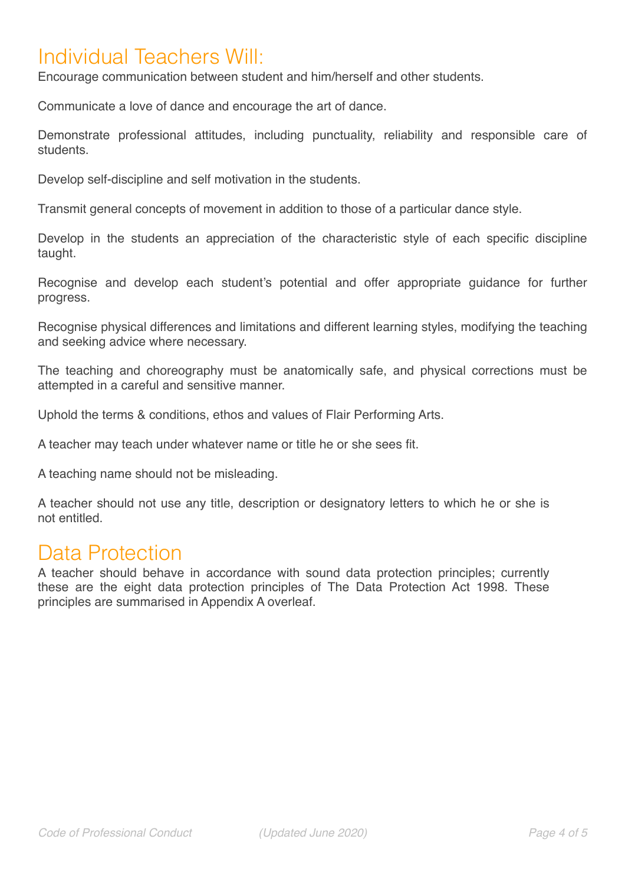### Individual Teachers Will:

Encourage communication between student and him/herself and other students.

Communicate a love of dance and encourage the art of dance.

Demonstrate professional attitudes, including punctuality, reliability and responsible care of students.

Develop self-discipline and self motivation in the students.

Transmit general concepts of movement in addition to those of a particular dance style.

Develop in the students an appreciation of the characteristic style of each specific discipline taught.

Recognise and develop each student's potential and offer appropriate guidance for further progress.

Recognise physical differences and limitations and different learning styles, modifying the teaching and seeking advice where necessary.

The teaching and choreography must be anatomically safe, and physical corrections must be attempted in a careful and sensitive manner.

Uphold the terms & conditions, ethos and values of Flair Performing Arts.

A teacher may teach under whatever name or title he or she sees fit.

A teaching name should not be misleading.

A teacher should not use any title, description or designatory letters to which he or she is not entitled.

### Data Protection

A teacher should behave in accordance with sound data protection principles; currently these are the eight data protection principles of The Data Protection Act 1998. These principles are summarised in Appendix A overleaf.